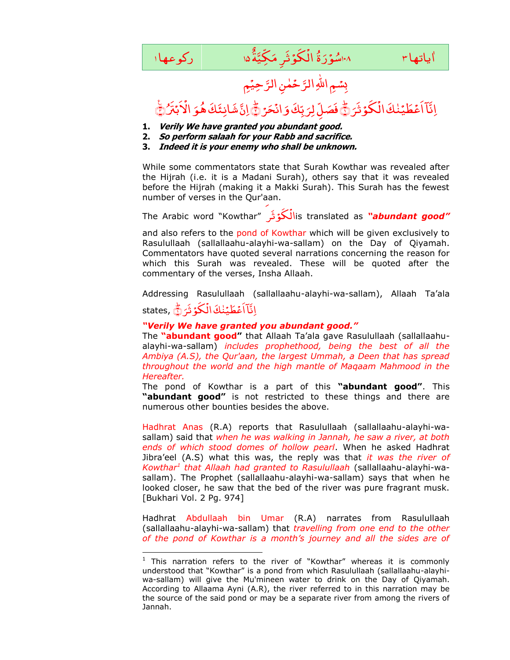

رَّحِیْمِ حَمٰنِ الرَّ بِسْمِ اللَّهِ الرَّ

## َؕ ﴿ َ َر ث َکوْ ْ اَعۡطَیۡنٰكَ الۡ ِ<br>ب اِنَّآ اَعۡطَیۡنٰكَ الۡكُوۡ ثَرَ ﴾ فَصَلِّ لِرَبِّكَ وَانۡحَرۡ ﴾ ْ ان <sub>ب</sub>ِّكَ وَ ر<br>ا ِّهِ فَصَلِّ لِرَبِّكَ وَانْحَرْ فِي إِنَّ شَانِئَكَ هُوَ الْأَبْتَرُ فَيَ ْ اْل َ ِّ إِنَّ شَانِئَكَ هُوَ الْأَبْتَنُ فِيَ

- **1. Verily We have granted you abundant good.**
- **2. So perform salaah for your Rabb and sacrifice.**
- **3. Indeed it is your enemy who shall be unknown.**

While some commentators state that Surah Kowthar was revealed after the Hijrah (i.e. it is a Madani Surah), others say that it was revealed before the Hijrah (making it a Makki Surah). This Surah has the fewest number of verses in the Qur'aan.

۔<br>**لَکُوۡ تُر** ″Kowthar" (The Arabic word َ الis translated as *"abundant good"*

and also refers to the pond of Kowthar which will be given exclusively to Rasulullaah (sallallaahu-alayhi-wa-sallam) on the Day of Qiyamah. Commentators have quoted several narrations concerning the reason for which this Surah was revealed. These will be quoted after the commentary of the verses, Insha Allaah.

Addressing Rasulullaah (sallallaahu-alayhi-wa-sallam), Allaah Ta"ala states, َؕ ﴿ ُ<br>ڶػۉڎؘ*ۯ* اَعۡطَیۡنٰكَ الۡ ِ اِنَّآاَعْطَيْنٰكَ الْكُوْثَرَدُّ

## *"Verily We have granted you abundant good."*

-

The **"abundant good"** that Allaah Ta"ala gave Rasulullaah (sallallaahualayhi-wa-sallam) *includes prophethood, being the best of all the Ambiya (A.S), the Qur'aan, the largest Ummah, a Deen that has spread throughout the world and the high mantle of Maqaam Mahmood in the Hereafter.*

The pond of Kowthar is a part of this **"abundant good"**. This **"abundant good"** is not restricted to these things and there are numerous other bounties besides the above.

Hadhrat Anas (R.A) reports that Rasulullaah (sallallaahu-alayhi-wasallam) said that *when he was walking in Jannah, he saw a river, at both ends of which stood domes of hollow pearl*. When he asked Hadhrat Jibra"eel (A.S) what this was, the reply was that *it was the river of Kowthar<sup>1</sup> that Allaah had granted to Rasulullaah* (sallallaahu-alayhi-wasallam). The Prophet (sallallaahu-alayhi-wa-sallam) says that when he looked closer, he saw that the bed of the river was pure fragrant musk. [Bukhari Vol. 2 Pg. 974]

Hadhrat Abdullaah bin Umar (R.A) narrates from Rasulullaah (sallallaahu-alayhi-wa-sallam) that *travelling from one end to the other of the pond of Kowthar is a month"s journey and all the sides are of* 

 $1$  This narration refers to the river of "Kowthar" whereas it is commonly understood that "Kowthar" is a pond from which Rasulullaah (sallallaahu-alayhiwa-sallam) will give the Mu'mineen water to drink on the Day of Qiyamah. According to Allaama Ayni (A.R), the river referred to in this narration may be the source of the said pond or may be a separate river from among the rivers of Jannah.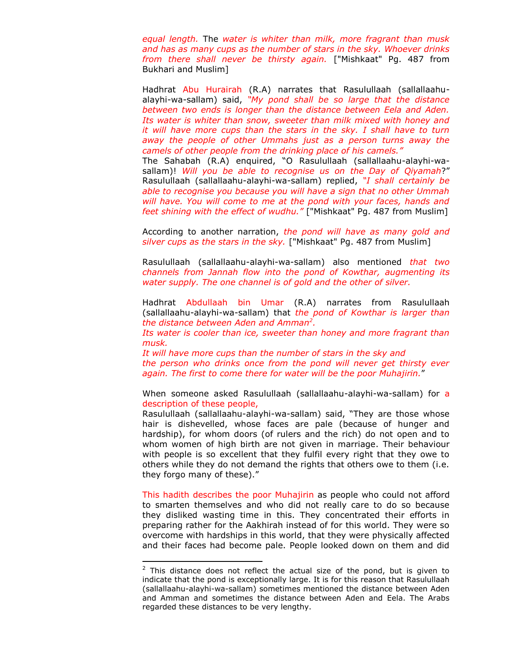*equal length.* The *water is whiter than milk, more fragrant than musk and has as many cups as the number of stars in the sky. Whoever drinks from there shall never be thirsty again.* ["Mishkaat" Pg. 487 from Bukhari and Muslim]

Hadhrat Abu Hurairah (R.A) narrates that Rasulullaah (sallallaahualayhi-wa-sallam) said, *"My pond shall be so large that the distance between two ends is longer than the distance between Eela and Aden. Its water is whiter than snow, sweeter than milk mixed with honey and it will have more cups than the stars in the sky. I shall have to turn away the people of other Ummahs just as a person turns away the camels of other people from the drinking place of his camels."*

The Sahabah (R.A) enquired, "O Rasulullaah (sallallaahu-alayhi-wasallam)! *Will you be able to recognise us on the Day of Qiyamah*?" Rasulullaah (sallallaahu-alayhi-wa-sallam) replied, *"I shall certainly be able to recognise you because you will have a sign that no other Ummah will have. You will come to me at the pond with your faces, hands and feet shining with the effect of wudhu."* ["Mishkaat" Pg. 487 from Muslim]

According to another narration, *the pond will have as many gold and silver cups as the stars in the sky.* ["Mishkaat" Pg. 487 from Muslim]

Rasulullaah (sallallaahu-alayhi-wa-sallam) also mentioned *that two channels from Jannah flow into the pond of Kowthar, augmenting its water supply. The one channel is of gold and the other of silver.*

Hadhrat Abdullaah bin Umar (R.A) narrates from Rasulullaah (sallallaahu-alayhi-wa-sallam) that *the pond of Kowthar is larger than the distance between Aden and Amman<sup>2</sup> .* 

*Its water is cooler than ice, sweeter than honey and more fragrant than musk.* 

*It will have more cups than the number of stars in the sky and the person who drinks once from the pond will never get thirsty ever again. The first to come there for water will be the poor Muhajirin.*"

When someone asked Rasulullaah (sallallaahu-alayhi-wa-sallam) for a description of these people,

Rasulullaah (sallallaahu-alayhi-wa-sallam) said, "They are those whose hair is dishevelled, whose faces are pale (because of hunger and hardship), for whom doors (of rulers and the rich) do not open and to whom women of high birth are not given in marriage. Their behaviour with people is so excellent that they fulfil every right that they owe to others while they do not demand the rights that others owe to them (i.e. they forgo many of these)."

This hadith describes the poor Muhajirin as people who could not afford to smarten themselves and who did not really care to do so because they disliked wasting time in this. They concentrated their efforts in preparing rather for the Aakhirah instead of for this world. They were so overcome with hardships in this world, that they were physically affected and their faces had become pale. People looked down on them and did

1

 $2$  This distance does not reflect the actual size of the pond, but is given to indicate that the pond is exceptionally large. It is for this reason that Rasulullaah (sallallaahu-alayhi-wa-sallam) sometimes mentioned the distance between Aden and Amman and sometimes the distance between Aden and Eela. The Arabs regarded these distances to be very lengthy.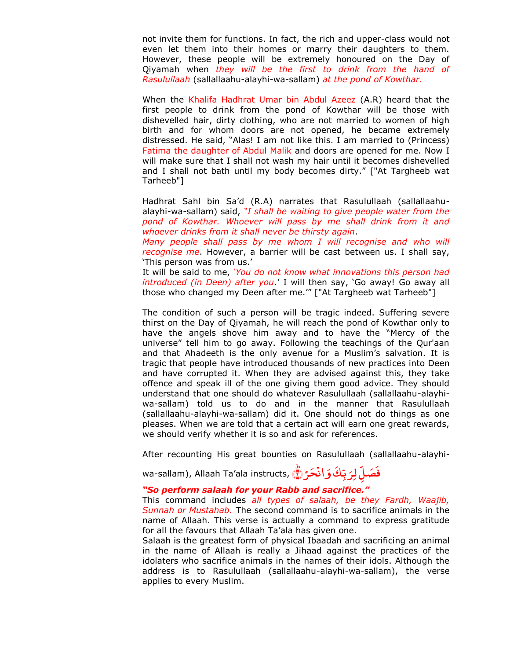not invite them for functions. In fact, the rich and upper-class would not even let them into their homes or marry their daughters to them. However, these people will be extremely honoured on the Day of Qiyamah when *they will be the first to drink from the hand of Rasulullaah* (sallallaahu-alayhi-wa-sallam) *at the pond of Kowthar.* 

When the Khalifa Hadhrat Umar bin Abdul Azeez (A.R) heard that the first people to drink from the pond of Kowthar will be those with dishevelled hair, dirty clothing, who are not married to women of high birth and for whom doors are not opened, he became extremely distressed. He said, "Alas! I am not like this. I am married to (Princess) Fatima the daughter of Abdul Malik and doors are opened for me. Now I will make sure that I shall not wash my hair until it becomes dishevelled and I shall not bath until my body becomes dirty." ["At Targheeb wat Tarheeb"]

Hadhrat Sahl bin Sa"d (R.A) narrates that Rasulullaah (sallallaahualayhi-wa-sallam) said, *"I shall be waiting to give people water from the pond of Kowthar. Whoever will pass by me shall drink from it and whoever drinks from it shall never be thirsty again*.

*Many people shall pass by me whom I will recognise and who will recognise me*. However, a barrier will be cast between us. I shall say, "This person was from us."

It will be said to me, *"You do not know what innovations this person had introduced (in Deen) after you*." I will then say, "Go away! Go away all those who changed my Deen after me."" ["At Targheeb wat Tarheeb"]

The condition of such a person will be tragic indeed. Suffering severe thirst on the Day of Qiyamah, he will reach the pond of Kowthar only to have the angels shove him away and to have the "Mercy of the universe" tell him to go away. Following the teachings of the Qur'aan and that Ahadeeth is the only avenue for a Muslim's salvation. It is tragic that people have introduced thousands of new practices into Deen and have corrupted it. When they are advised against this, they take offence and speak ill of the one giving them good advice. They should understand that one should do whatever Rasulullaah (sallallaahu-alayhiwa-sallam) told us to do and in the manner that Rasulullaah (sallallaahu-alayhi-wa-sallam) did it. One should not do things as one pleases. When we are told that a certain act will earn one great rewards, we should verify whether it is so and ask for references.

After recounting His great bounties on Rasulullaah (sallallaahu-alayhi-

wa-sallam), Allaah Ta'ala instructs, حَرُ ۞ ْ ان َ َک و ِ ّ ب ر<br>۔ فَصَلِّ لِرَبِّكَ وَانْحَرْ $\bar{\tilde{\mathbb{Z}}}$ 

## *"So perform salaah for your Rabb and sacrifice."*

This command includes *all types of salaah, be they Fardh, Waajib, Sunnah or Mustahab.* The second command is to sacrifice animals in the name of Allaah. This verse is actually a command to express gratitude for all the favours that Allaah Ta"ala has given one.

Salaah is the greatest form of physical Ibaadah and sacrificing an animal in the name of Allaah is really a Jihaad against the practices of the idolaters who sacrifice animals in the names of their idols. Although the address is to Rasulullaah (sallallaahu-alayhi-wa-sallam), the verse applies to every Muslim.